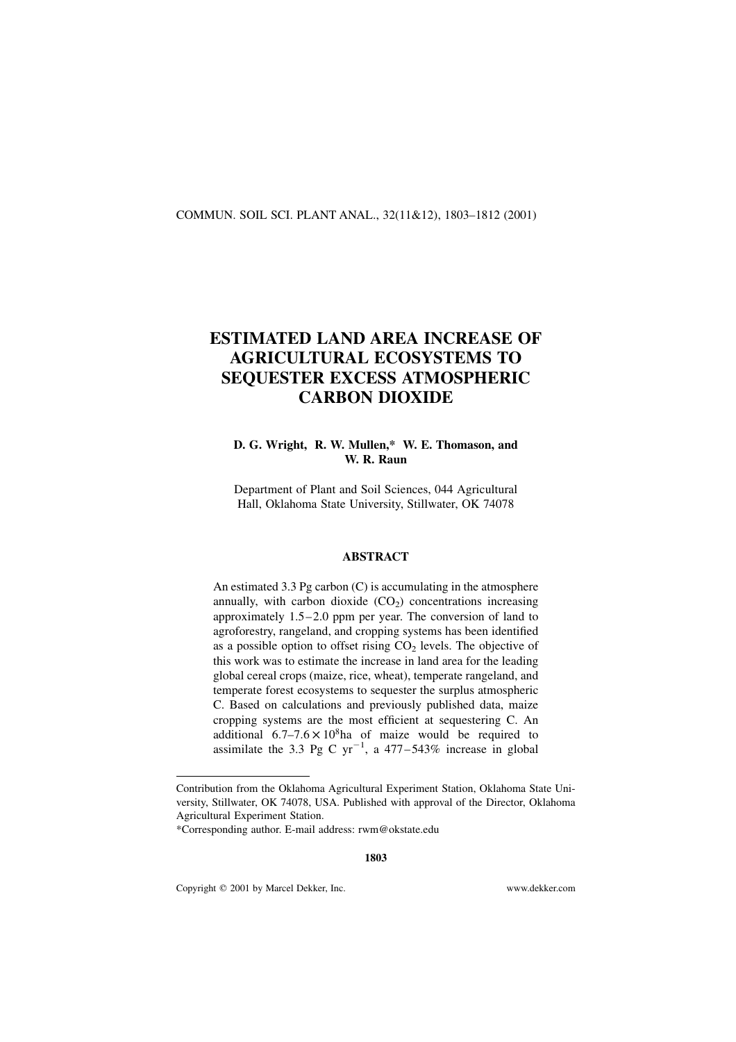### COMMUN. SOIL SCI. PLANT ANAL., 32(11&12), 1803–1812 (2001)

# ESTIMATED LAND AREA INCREASE OF AGRICULTURAL ECOSYSTEMS TO SEQUESTER EXCESS ATMOSPHERIC CARBON DIOXIDE

# D. G. Wright, R. W. Mullen,\* W. E. Thomason, and W. R. Raun

Department of Plant and Soil Sciences, 044 Agricultural Hall, Oklahoma State University, Stillwater, OK 74078

## ABSTRACT

An estimated 3.3 Pg carbon (C) is accumulating in the atmosphere annually, with carbon dioxide  $(CO<sub>2</sub>)$  concentrations increasing approximately 1.5–2.0 ppm per year. The conversion of land to agroforestry, rangeland, and cropping systems has been identified as a possible option to offset rising  $CO<sub>2</sub>$  levels. The objective of this work was to estimate the increase in land area for the leading global cereal crops (maize, rice, wheat), temperate rangeland, and temperate forest ecosystems to sequester the surplus atmospheric C. Based on calculations and previously published data, maize cropping systems are the most efficient at sequestering C. An additional  $6.7-7.6 \times 10^8$ ha of maize would be required to assimilate the 3.3 Pg C  $yr^{-1}$ , a 477–543% increase in global

Copyright q 2001 by Marcel Dekker, Inc. www.dekker.com

Contribution from the Oklahoma Agricultural Experiment Station, Oklahoma State University, Stillwater, OK 74078, USA. Published with approval of the Director, Oklahoma Agricultural Experiment Station.

<sup>\*</sup>Corresponding author. E-mail address: rwm@okstate.edu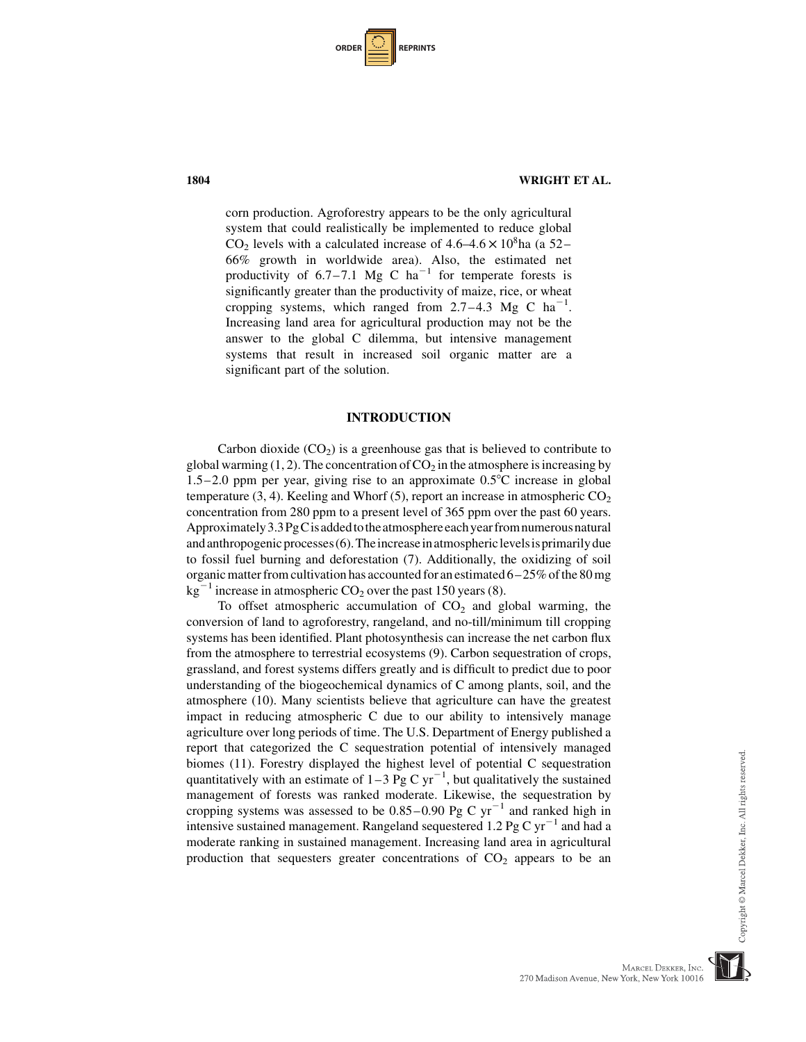| <b>ORDER I</b> |  | <b>REPRINTS</b> |
|----------------|--|-----------------|
|----------------|--|-----------------|

corn production. Agroforestry appears to be the only agricultural system that could realistically be implemented to reduce global  $CO<sub>2</sub>$  levels with a calculated increase of 4.6–4.6  $\times$  10<sup>8</sup>ha (a 52– 66% growth in worldwide area). Also, the estimated net productivity of  $6.7-7.1$  Mg C ha<sup>-1</sup> for temperate forests is significantly greater than the productivity of maize, rice, or wheat cropping systems, which ranged from  $2.7-4.3$  Mg C ha<sup>-1</sup>. Increasing land area for agricultural production may not be the answer to the global C dilemma, but intensive management systems that result in increased soil organic matter are a significant part of the solution.

#### INTRODUCTION

Carbon dioxide  $(CO_2)$  is a greenhouse gas that is believed to contribute to global warming  $(1, 2)$ . The concentration of  $CO<sub>2</sub>$  in the atmosphere is increasing by 1.5–2.0 ppm per year, giving rise to an approximate  $0.5^{\circ}$ C increase in global temperature (3, 4). Keeling and Whorf (5), report an increase in atmospheric  $CO<sub>2</sub>$ concentration from 280 ppm to a present level of 365 ppm over the past 60 years. Approximately 3.3PgC is added to the atmosphere each year from numerous natural and anthropogenic processes $(6)$ . The increase in atmospheric levels is primarily due to fossil fuel burning and deforestation (7). Additionally, the oxidizing of soil organic matter from cultivation has accounted for an estimated  $6-25\%$  of the 80 mg  $kg^{-1}$  increase in atmospheric CO<sub>2</sub> over the past 150 years (8).

To offset atmospheric accumulation of  $CO<sub>2</sub>$  and global warming, the conversion of land to agroforestry, rangeland, and no-till/minimum till cropping systems has been identified. Plant photosynthesis can increase the net carbon flux from the atmosphere to terrestrial ecosystems (9). Carbon sequestration of crops, grassland, and forest systems differs greatly and is difficult to predict due to poor understanding of the biogeochemical dynamics of C among plants, soil, and the atmosphere (10). Many scientists believe that agriculture can have the greatest impact in reducing atmospheric C due to our ability to intensively manage agriculture over long periods of time. The U.S. Department of Energy published a report that categorized the C sequestration potential of intensively managed biomes (11). Forestry displayed the highest level of potential C sequestration quantitatively with an estimate of  $1-3$  Pg C yr<sup>-1</sup>, but qualitatively the sustained management of forests was ranked moderate. Likewise, the sequestration by cropping systems was assessed to be  $0.85-0.90$  Pg C yr<sup>-1</sup> and ranked high in intensive sustained management. Rangeland sequestered 1.2 Pg C  $yr^{-1}$  and had a moderate ranking in sustained management. Increasing land area in agricultural production that sequesters greater concentrations of  $CO<sub>2</sub>$  appears to be an

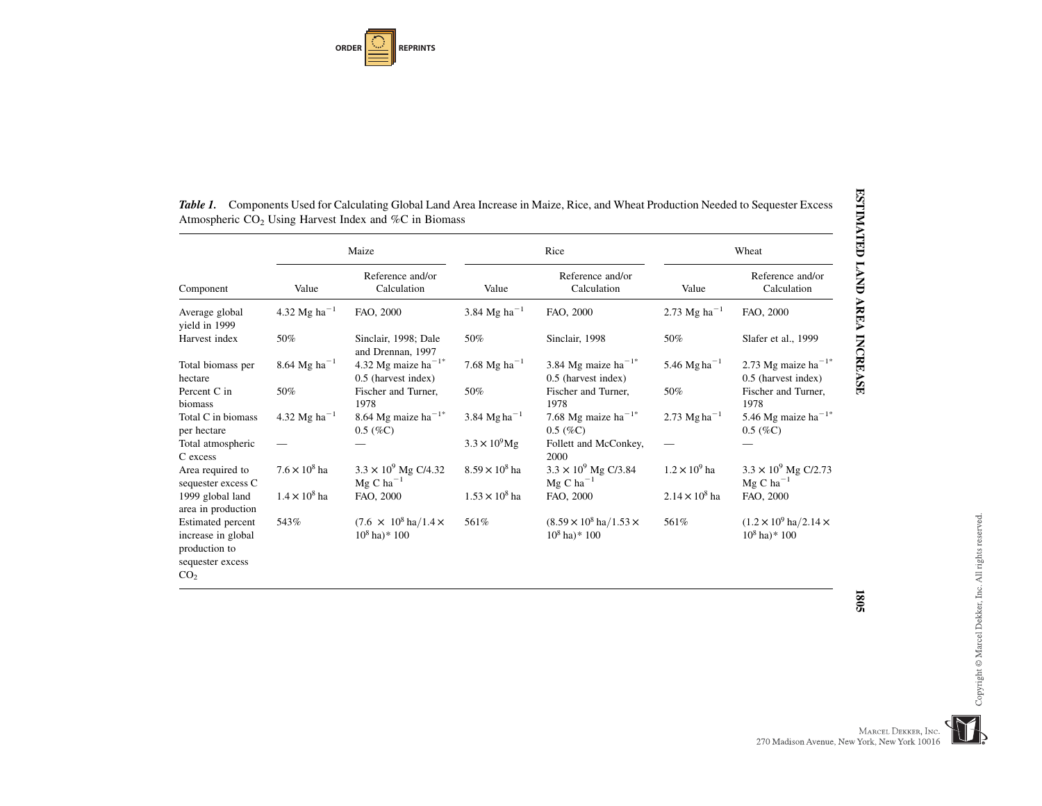**ORDERREPRINTS**

|                                                                 | Maize                                 |                                                               | Rice                      |                                                                     | Wheat                      |                                                                     |
|-----------------------------------------------------------------|---------------------------------------|---------------------------------------------------------------|---------------------------|---------------------------------------------------------------------|----------------------------|---------------------------------------------------------------------|
| Component                                                       | Value                                 | Reference and/or<br>Calculation                               | Value                     | Reference and/or<br>Calculation                                     | Value                      | Reference and/or<br>Calculation                                     |
| Average global<br>vield in 1999                                 | 4.32 Mg ha <sup><math>-1</math></sup> | FAO, 2000                                                     | 3.84 Mg ha <sup>-1</sup>  | FAO, 2000                                                           | 2.73 Mg ha <sup>-1</sup>   | FAO, 2000                                                           |
| Harvest index                                                   | 50%                                   | Sinclair, 1998; Dale<br>and Drennan, 1997                     | 50%                       | Sinclair, 1998                                                      | 50%                        | Slafer et al., 1999                                                 |
| Total biomass per<br>hectare                                    | 8.64 Mg ha <sup>-1</sup>              | 4.32 Mg maize ha <sup>-1*</sup><br>0.5 (harvest index)        | $7.68 \text{ Mg ha}^{-1}$ | 3.84 Mg maize ha <sup><math>-1</math>*</sup><br>0.5 (harvest index) | 5.46 Mg ha <sup>-1</sup>   | 2.73 Mg maize ha <sup><math>-1</math>*</sup><br>0.5 (harvest index) |
| Percent C in<br>biomass                                         | 50%                                   | Fischer and Turner,<br>1978                                   | 50%                       | Fischer and Turner,<br>1978                                         | 50%                        | Fischer and Turner,<br>1978                                         |
| Total C in biomass<br>per hectare                               | 4.32 Mg ha <sup>-1</sup>              | 8.64 Mg maize ha <sup><math>-1</math>*</sup><br>$0.5~(\%C)$   | 3.84 Mg ha <sup>-1</sup>  | 7.68 Mg maize ha <sup><math>-1</math>*</sup><br>$0.5~(\%C)$         | 2.73 $Mg$ ha <sup>-1</sup> | 5.46 Mg maize ha <sup><math>-1</math>*</sup><br>$0.5~(\%C)$         |
| Total atmospheric<br>C excess                                   |                                       |                                                               | $3.3 \times 10^{9}$ Mg    | Follett and McConkey,<br>2000                                       |                            |                                                                     |
| Area required to<br>sequester excess C                          | $7.6 \times 10^8$ ha                  | $3.3 \times 10^9$ Mg C/4.32<br>$Mg$ C ha <sup>-1</sup>        | $8.59 \times 10^8$ ha     | $3.3 \times 10^9$ Mg C/3.84<br>$Mg$ C ha <sup>-1</sup>              | $1.2 \times 10^9$ ha       | $3.3 \times 10^9$ Mg C/2.73<br>$Mg$ C ha <sup>-1</sup>              |
| 1999 global land<br>area in production                          | $1.4\times10^8$ ha                    | FAO, 2000                                                     | $1.53 \times 10^8$ ha     | FAO, 2000                                                           | $2.14 \times 10^8$ ha      | FAO, 2000                                                           |
| <b>Estimated</b> percent<br>increase in global<br>production to | 543%                                  | $(7.6 \times 10^8 \text{ ha}/1.4 \times$<br>$10^8$ ha)* $100$ | 561%                      | $(8.59 \times 10^8 \text{ ha}/1.53 \times$<br>$10^8$ ha) * 100      | 561%                       | $(1.2 \times 10^9 \text{ ha}/2.14 \times$<br>$10^8$ ha)* $100$      |

ESTIMATED LAND AREA INCREASE 18051805

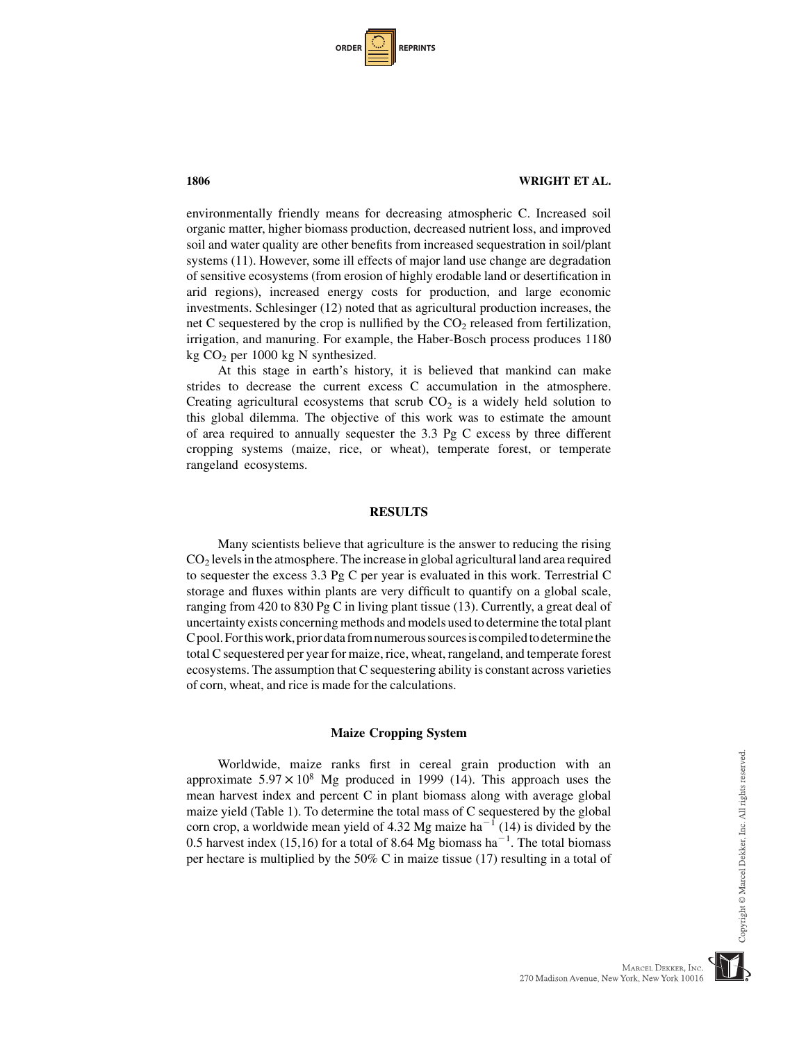| <b>ORDER</b> |  | <b>REPRINTS</b> |
|--------------|--|-----------------|
|--------------|--|-----------------|

environmentally friendly means for decreasing atmospheric C. Increased soil organic matter, higher biomass production, decreased nutrient loss, and improved soil and water quality are other benefits from increased sequestration in soil/plant systems (11). However, some ill effects of major land use change are degradation of sensitive ecosystems (from erosion of highly erodable land or desertification in arid regions), increased energy costs for production, and large economic investments. Schlesinger (12) noted that as agricultural production increases, the net C sequestered by the crop is nullified by the  $CO<sub>2</sub>$  released from fertilization, irrigation, and manuring. For example, the Haber-Bosch process produces 1180 kg CO2 per 1000 kg N synthesized.

At this stage in earth's history, it is believed that mankind can make strides to decrease the current excess C accumulation in the atmosphere. Creating agricultural ecosystems that scrub  $CO<sub>2</sub>$  is a widely held solution to this global dilemma. The objective of this work was to estimate the amount of area required to annually sequester the 3.3 Pg C excess by three different cropping systems (maize, rice, or wheat), temperate forest, or temperate rangeland ecosystems.

#### RESULTS

Many scientists believe that agriculture is the answer to reducing the rising  $CO<sub>2</sub>$  levels in the atmosphere. The increase in global agricultural land area required to sequester the excess 3.3 Pg C per year is evaluated in this work. Terrestrial C storage and fluxes within plants are very difficult to quantify on a global scale, ranging from 420 to 830 Pg C in living plant tissue (13). Currently, a great deal of uncertainty exists concerning methods and models used to determine the total plant Cpool.Forthiswork,priordatafromnumeroussourcesiscompiledtodeterminethe total C sequestered per year for maize, rice, wheat, rangeland, and temperate forest ecosystems. The assumption that C sequestering ability is constant across varieties of corn, wheat, and rice is made for the calculations.

#### Maize Cropping System

Worldwide, maize ranks first in cereal grain production with an approximate  $5.97 \times 10^8$  Mg produced in 1999 (14). This approach uses the mean harvest index and percent C in plant biomass along with average global maize yield (Table 1). To determine the total mass of C sequestered by the global corn crop, a worldwide mean yield of 4.32 Mg maize ha<sup> $-1$ </sup> (14) is divided by the 0.5 harvest index (15,16) for a total of 8.64 Mg biomass ha<sup>-1</sup>. The total biomass per hectare is multiplied by the 50% C in maize tissue (17) resulting in a total of Copyright © Marcel Dekker, Inc. All rights reserved

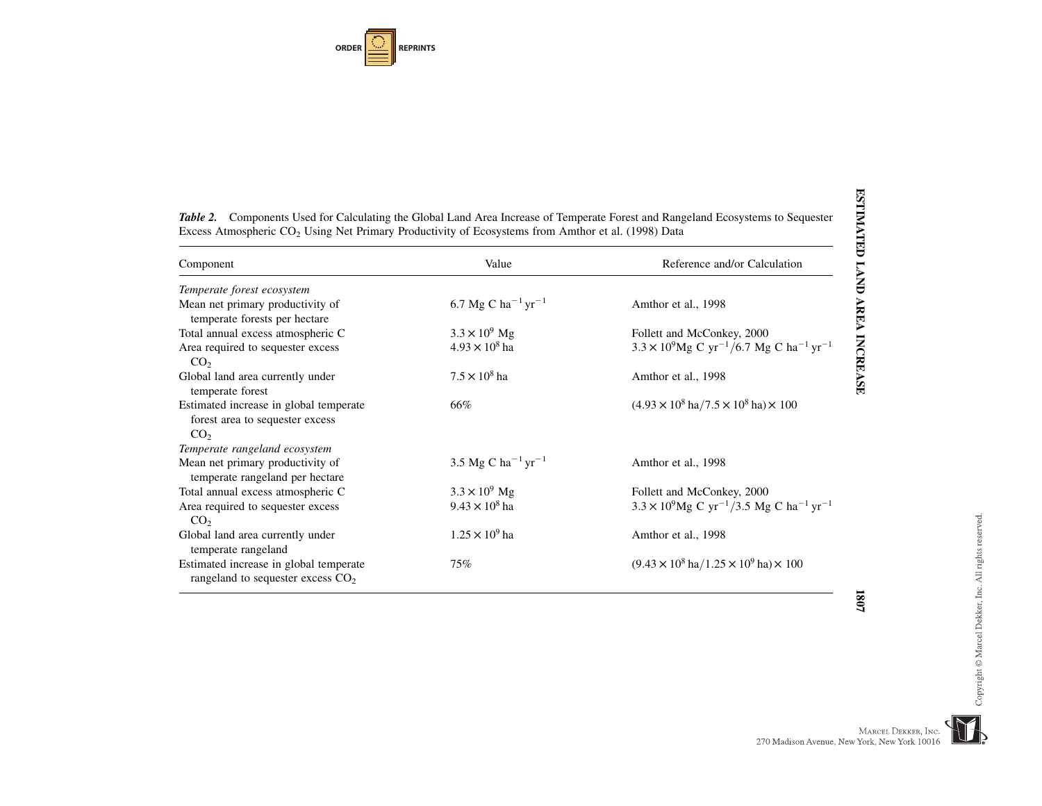**ORDERREPRINTS**

| Component                                                                                    | Value                                      | Reference and/or Calculation                                                        |
|----------------------------------------------------------------------------------------------|--------------------------------------------|-------------------------------------------------------------------------------------|
| Temperate forest ecosystem                                                                   |                                            |                                                                                     |
| Mean net primary productivity of<br>temperate forests per hectare                            | 6.7 Mg C ha <sup>-1</sup> yr <sup>-1</sup> | Amthor et al., 1998                                                                 |
| Total annual excess atmospheric C                                                            | $3.3 \times 10^{9}$ Mg                     | Follett and McConkey, 2000                                                          |
| Area required to sequester excess<br>CO <sub>2</sub>                                         | $4.93 \times 10^{8}$ ha                    | $3.3 \times 10^9$ Mg C yr <sup>-1</sup> /6.7 Mg C ha <sup>-1</sup> yr <sup>-1</sup> |
| Global land area currently under<br>temperate forest                                         | $7.5 \times 10^8$ ha                       | Amthor et al., 1998                                                                 |
| Estimated increase in global temperate<br>forest area to sequester excess<br>CO <sub>2</sub> | 66%                                        | $(4.93 \times 10^8 \text{ ha}/7.5 \times 10^8 \text{ ha}) \times 100$               |
| Temperate rangeland ecosystem                                                                |                                            |                                                                                     |
| Mean net primary productivity of<br>temperate rangeland per hectare                          | 3.5 Mg C ha <sup>-1</sup> yr <sup>-1</sup> | Amthor et al., 1998                                                                 |
| Total annual excess atmospheric C                                                            | $3.3 \times 10^{9}$ Mg                     | Follett and McConkey, 2000                                                          |
| Area required to sequester excess<br>CO <sub>2</sub>                                         | $9.43 \times 10^8$ ha                      | $3.3 \times 10^9$ Mg C yr <sup>-1</sup> /3.5 Mg C ha <sup>-1</sup> yr <sup>-1</sup> |
| Global land area currently under<br>temperate rangeland                                      | $1.25 \times 10^{9}$ ha                    | Amthor et al., 1998                                                                 |
| Estimated increase in global temperate<br>rangeland to sequester excess CO <sub>2</sub>      | 75%                                        | $(9.43 \times 10^8 \text{ ha}/1.25 \times 10^9 \text{ ha}) \times 100$              |

1807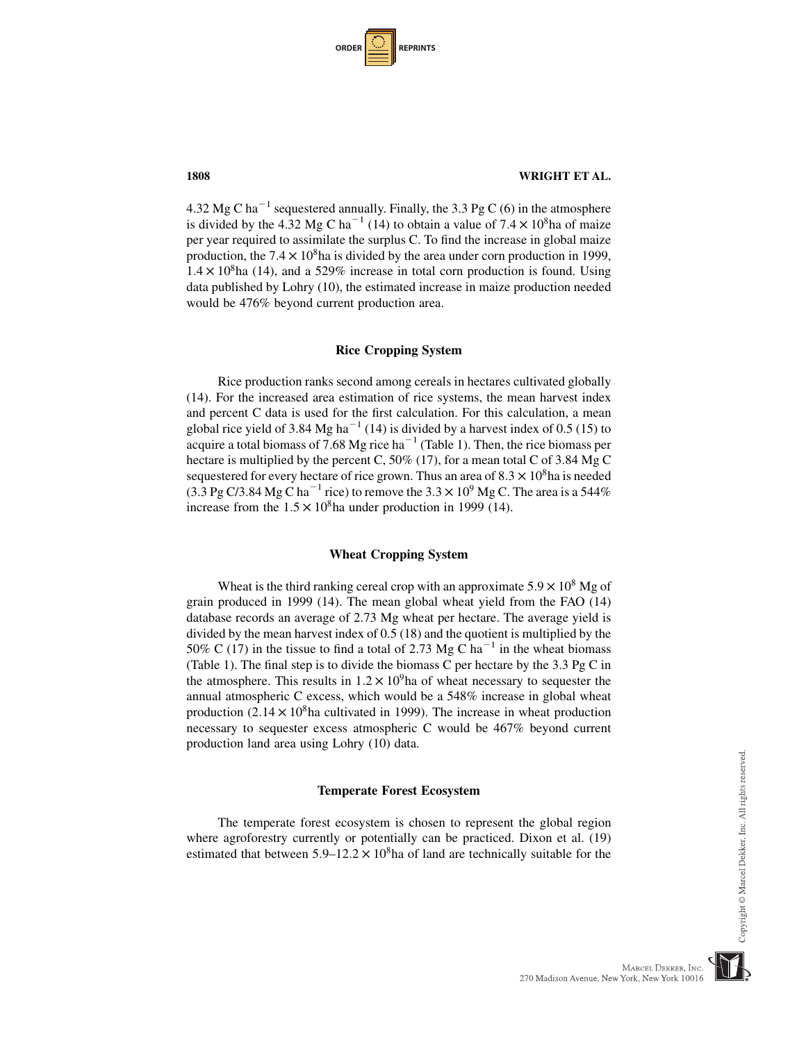| <b>ORDER</b> |  | <b>REPRINTS</b> |
|--------------|--|-----------------|
|--------------|--|-----------------|

4.32 Mg C ha<sup> $-1$ </sup> sequestered annually. Finally, the 3.3 Pg C (6) in the atmosphere is divided by the 4.32 Mg C ha<sup>-1</sup> (14) to obtain a value of  $7.4 \times 10^8$ ha of maize per year required to assimilate the surplus C. To find the increase in global maize production, the  $7.4 \times 10^8$ ha is divided by the area under corn production in 1999,  $1.4 \times 10^8$ ha (14), and a 529% increase in total corn production is found. Using data published by Lohry (10), the estimated increase in maize production needed would be 476% beyond current production area.

#### Rice Cropping System

Rice production ranks second among cereals in hectares cultivated globally (14). For the increased area estimation of rice systems, the mean harvest index and percent C data is used for the first calculation. For this calculation, a mean global rice yield of 3.84 Mg ha<sup> $-1$ </sup> (14) is divided by a harvest index of 0.5 (15) to acquire a total biomass of 7.68 Mg rice ha<sup> $-1$ </sup> (Table 1). Then, the rice biomass per hectare is multiplied by the percent C, 50% (17), for a mean total C of 3.84 Mg C sequestered for every hectare of rice grown. Thus an area of  $8.3 \times 10^8$ ha is needed (3.3 Pg C/3.84 Mg C ha<sup>-1</sup> rice) to remove the  $3.3 \times 10^9$  Mg C. The area is a 544% increase from the  $1.5 \times 10^8$ ha under production in 1999 (14).

#### Wheat Cropping System

Wheat is the third ranking cereal crop with an approximate  $5.9 \times 10^8$  Mg of grain produced in 1999 (14). The mean global wheat yield from the FAO (14) database records an average of 2.73 Mg wheat per hectare. The average yield is divided by the mean harvest index of 0.5 (18) and the quotient is multiplied by the 50% C (17) in the tissue to find a total of 2.73 Mg C ha<sup> $-1$ </sup> in the wheat biomass (Table 1). The final step is to divide the biomass C per hectare by the 3.3 Pg C in the atmosphere. This results in  $1.2 \times 10^9$  ha of wheat necessary to sequester the annual atmospheric C excess, which would be a 548% increase in global wheat production  $(2.14 \times 10^8)$ ha cultivated in 1999). The increase in wheat production necessary to sequester excess atmospheric C would be 467% beyond current production land area using Lohry (10) data.

#### Temperate Forest Ecosystem

The temperate forest ecosystem is chosen to represent the global region where agroforestry currently or potentially can be practiced. Dixon et al. (19) estimated that between  $5.9-12.2 \times 10^8$  has of land are technically suitable for the

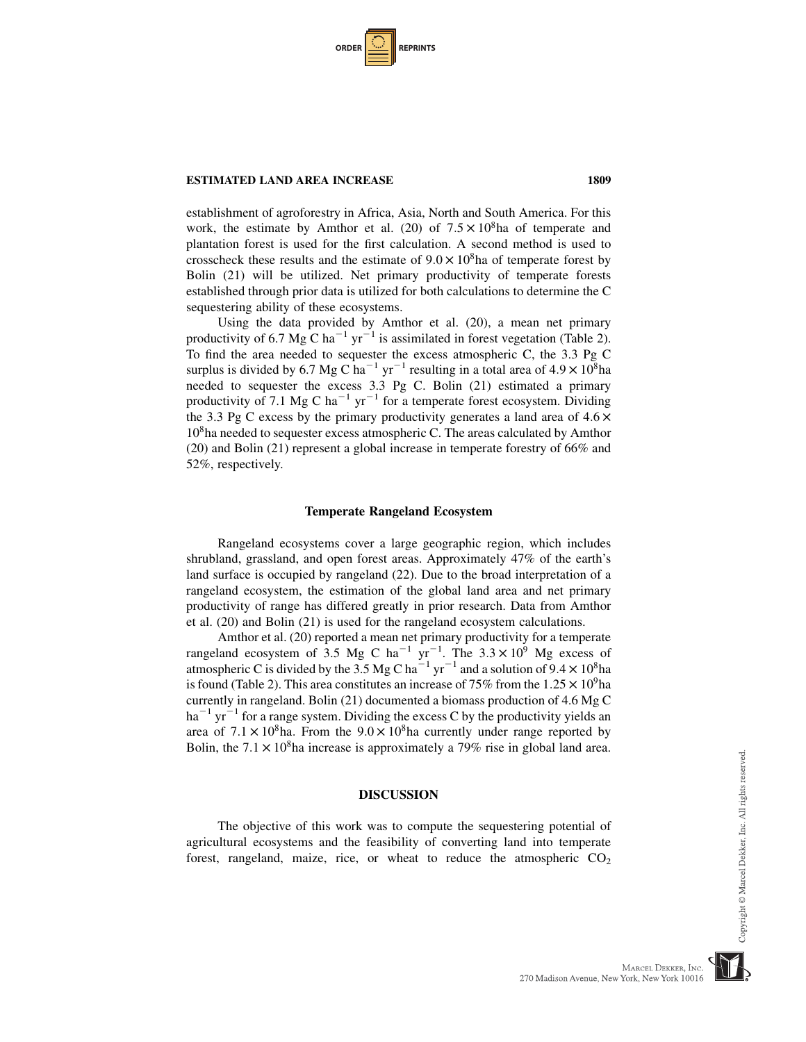| ORDER |  | <b>REPRINTS</b> |
|-------|--|-----------------|
|-------|--|-----------------|

#### **ESTIMATED LAND AREA INCREASE 1809** 1809

establishment of agroforestry in Africa, Asia, North and South America. For this work, the estimate by Amthor et al. (20) of  $7.5 \times 10^8$ ha of temperate and plantation forest is used for the first calculation. A second method is used to crosscheck these results and the estimate of  $9.0 \times 10^8$ ha of temperate forest by Bolin (21) will be utilized. Net primary productivity of temperate forests established through prior data is utilized for both calculations to determine the C sequestering ability of these ecosystems.

Using the data provided by Amthor et al. (20), a mean net primary productivity of 6.7 Mg C ha<sup>-1</sup> yr<sup>-1</sup> is assimilated in forest vegetation (Table 2). To find the area needed to sequester the excess atmospheric C, the 3.3 Pg C surplus is divided by 6.7 Mg C ha<sup>-1</sup> yr<sup>-1</sup> resulting in a total area of  $4.9 \times 10^8$ ha needed to sequester the excess 3.3 Pg C. Bolin (21) estimated a primary productivity of 7.1 Mg C ha<sup>-1</sup> yr<sup>-1</sup> for a temperate forest ecosystem. Dividing the 3.3 Pg C excess by the primary productivity generates a land area of  $4.6 \times$ 108ha needed to sequester excess atmospheric C. The areas calculated by Amthor (20) and Bolin (21) represent a global increase in temperate forestry of 66% and 52%, respectively.

#### Temperate Rangeland Ecosystem

Rangeland ecosystems cover a large geographic region, which includes shrubland, grassland, and open forest areas. Approximately 47% of the earth's land surface is occupied by rangeland (22). Due to the broad interpretation of a rangeland ecosystem, the estimation of the global land area and net primary productivity of range has differed greatly in prior research. Data from Amthor et al. (20) and Bolin (21) is used for the rangeland ecosystem calculations.

Amthor et al. (20) reported a mean net primary productivity for a temperate rangeland ecosystem of 3.5 Mg C ha<sup>-1</sup> yr<sup>-1</sup>. The 3.3  $\times$  10<sup>9</sup> Mg excess of atmospheric C is divided by the 3.5 Mg C ha<sup>-1</sup> yr<sup>-1</sup> and a solution of  $9.4 \times 10^8$ ha is found (Table 2). This area constitutes an increase of 75% from the  $1.25 \times 10^9$ ha currently in rangeland. Bolin (21) documented a biomass production of 4.6 Mg C  $ha^{-1}$  yr<sup>-1</sup> for a range system. Dividing the excess C by the productivity vields an area of  $7.1 \times 10^8$ ha. From the  $9.0 \times 10^8$ ha currently under range reported by Bolin, the  $7.1 \times 10^8$ ha increase is approximately a 79% rise in global land area.

#### DISCUSSION

The objective of this work was to compute the sequestering potential of agricultural ecosystems and the feasibility of converting land into temperate forest, rangeland, maize, rice, or wheat to reduce the atmospheric  $CO<sub>2</sub>$ 

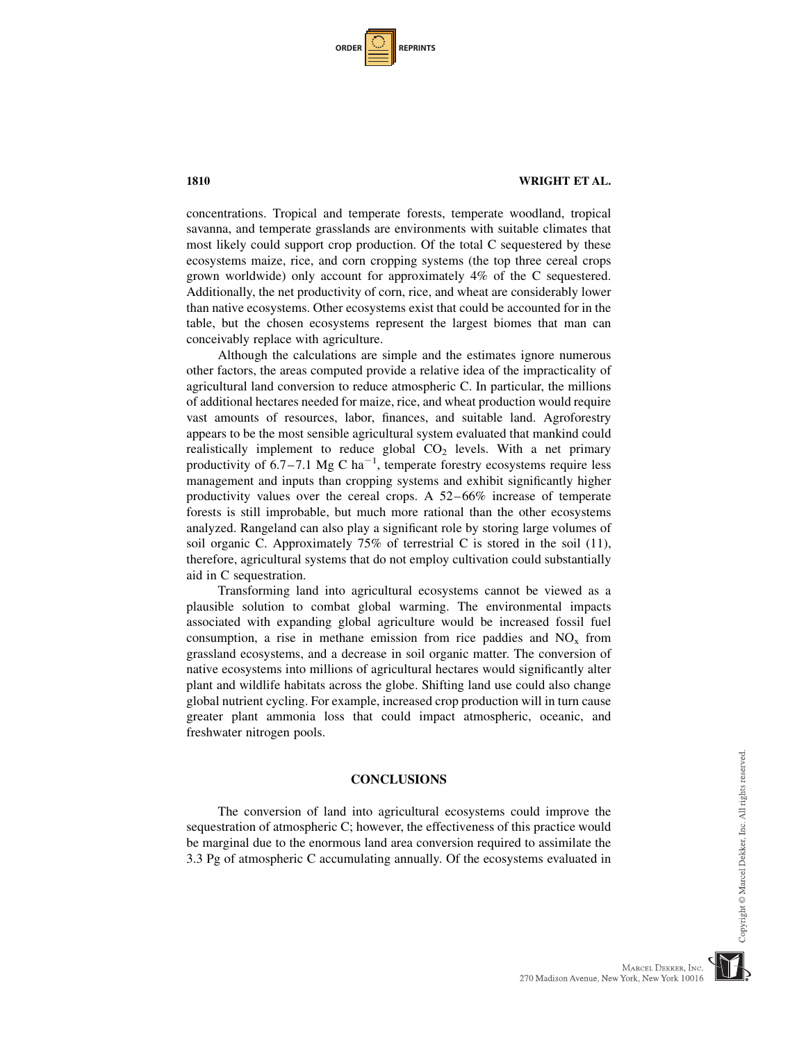| <b>ORDER</b> |  | <b>REPRINTS</b> |
|--------------|--|-----------------|
|--------------|--|-----------------|

concentrations. Tropical and temperate forests, temperate woodland, tropical savanna, and temperate grasslands are environments with suitable climates that most likely could support crop production. Of the total C sequestered by these ecosystems maize, rice, and corn cropping systems (the top three cereal crops grown worldwide) only account for approximately 4% of the C sequestered. Additionally, the net productivity of corn, rice, and wheat are considerably lower than native ecosystems. Other ecosystems exist that could be accounted for in the table, but the chosen ecosystems represent the largest biomes that man can conceivably replace with agriculture.

Although the calculations are simple and the estimates ignore numerous other factors, the areas computed provide a relative idea of the impracticality of agricultural land conversion to reduce atmospheric C. In particular, the millions of additional hectares needed for maize, rice, and wheat production would require vast amounts of resources, labor, finances, and suitable land. Agroforestry appears to be the most sensible agricultural system evaluated that mankind could realistically implement to reduce global  $CO<sub>2</sub>$  levels. With a net primary productivity of  $6.7 - 7.1$  Mg C ha<sup>-1</sup>, temperate forestry ecosystems require less management and inputs than cropping systems and exhibit significantly higher productivity values over the cereal crops. A 52–66% increase of temperate forests is still improbable, but much more rational than the other ecosystems analyzed. Rangeland can also play a significant role by storing large volumes of soil organic C. Approximately 75% of terrestrial C is stored in the soil (11), therefore, agricultural systems that do not employ cultivation could substantially aid in C sequestration.

Transforming land into agricultural ecosystems cannot be viewed as a plausible solution to combat global warming. The environmental impacts associated with expanding global agriculture would be increased fossil fuel consumption, a rise in methane emission from rice paddies and  $NO<sub>x</sub>$  from grassland ecosystems, and a decrease in soil organic matter. The conversion of native ecosystems into millions of agricultural hectares would significantly alter plant and wildlife habitats across the globe. Shifting land use could also change global nutrient cycling. For example, increased crop production will in turn cause greater plant ammonia loss that could impact atmospheric, oceanic, and freshwater nitrogen pools.

#### **CONCLUSIONS**

The conversion of land into agricultural ecosystems could improve the sequestration of atmospheric C; however, the effectiveness of this practice would be marginal due to the enormous land area conversion required to assimilate the 3.3 Pg of atmospheric C accumulating annually. Of the ecosystems evaluated in



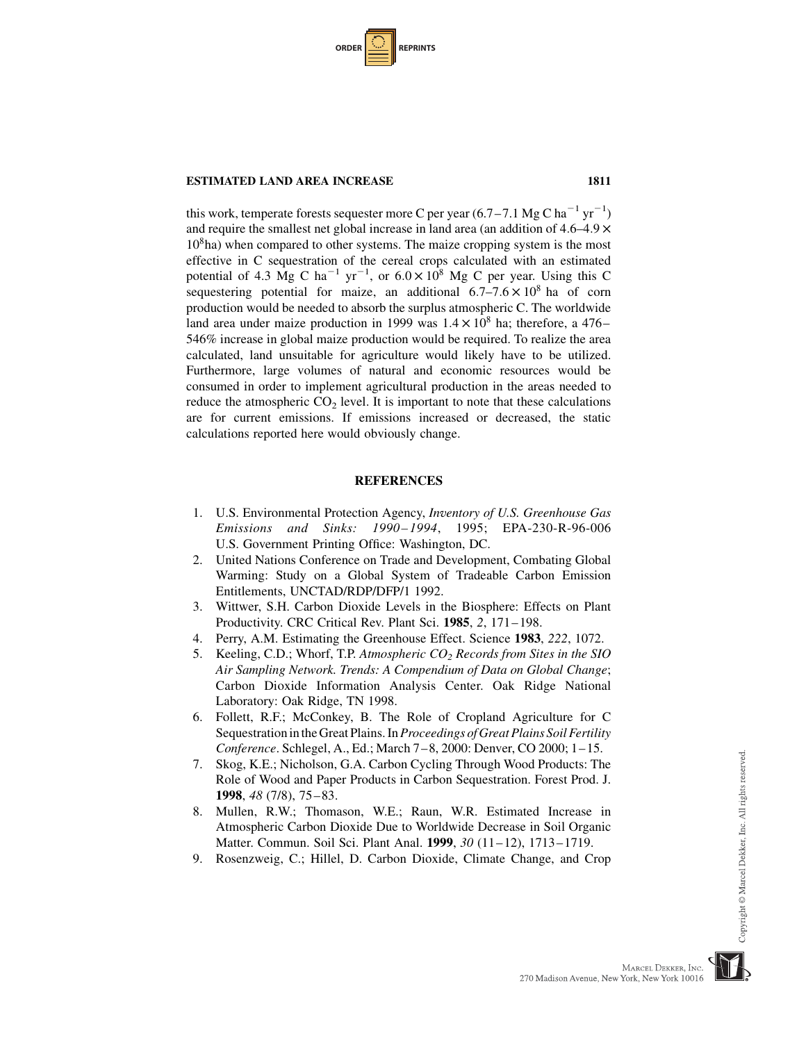| <b>ORDER</b> |  | <b>REPRINTS</b> |
|--------------|--|-----------------|
|--------------|--|-----------------|

#### **ESTIMATED LAND AREA INCREASE 1811** 1811

this work, temperate forests sequester more C per year  $(6.7-7.1 \text{ Mg C ha}^{-1} \text{ yr}^{-1})$ and require the smallest net global increase in land area (an addition of  $4.6-4.9 \times$  $10<sup>8</sup>$ ha) when compared to other systems. The maize cropping system is the most effective in C sequestration of the cereal crops calculated with an estimated potential of 4.3 Mg C ha<sup>-1</sup> yr<sup>-1</sup>, or  $6.0 \times 10^8$  Mg C per year. Using this C sequestering potential for maize, an additional  $6.7-7.6 \times 10^8$  ha of corn production would be needed to absorb the surplus atmospheric C. The worldwide land area under maize production in 1999 was  $1.4 \times 10^8$  ha; therefore, a 476– 546% increase in global maize production would be required. To realize the area calculated, land unsuitable for agriculture would likely have to be utilized. Furthermore, large volumes of natural and economic resources would be consumed in order to implement agricultural production in the areas needed to reduce the atmospheric  $CO<sub>2</sub>$  level. It is important to note that these calculations are for current emissions. If emissions increased or decreased, the static calculations reported here would obviously change.

### **REFERENCES**

- 1. U.S. Environmental Protection Agency, Inventory of U.S. Greenhouse Gas Emissions and Sinks: 1990–1994, 1995; EPA-230-R-96-006 U.S. Government Printing Office: Washington, DC.
- 2. United Nations Conference on Trade and Development, Combating Global Warming: Study on a Global System of Tradeable Carbon Emission Entitlements, UNCTAD/RDP/DFP/1 1992.
- 3. Wittwer, S.H. Carbon Dioxide Levels in the Biosphere: Effects on Plant Productivity. CRC Critical Rev. Plant Sci. 1985, 2, 171–198.
- 4. Perry, A.M. Estimating the Greenhouse Effect. Science 1983, 222, 1072.
- 5. Keeling, C.D.; Whorf, T.P. Atmospheric  $CO_2$  Records from Sites in the SIO Air Sampling Network. Trends: A Compendium of Data on Global Change; Carbon Dioxide Information Analysis Center. Oak Ridge National Laboratory: Oak Ridge, TN 1998.
- 6. Follett, R.F.; McConkey, B. The Role of Cropland Agriculture for C Sequestration in the Great Plains. In Proceedings of Great Plains Soil Fertility Conference. Schlegel, A., Ed.; March 7–8, 2000: Denver, CO 2000; 1–15.
- 7. Skog, K.E.; Nicholson, G.A. Carbon Cycling Through Wood Products: The Role of Wood and Paper Products in Carbon Sequestration. Forest Prod. J. 1998, 48 (7/8), 75–83.
- 8. Mullen, R.W.; Thomason, W.E.; Raun, W.R. Estimated Increase in Atmospheric Carbon Dioxide Due to Worldwide Decrease in Soil Organic Matter. Commun. Soil Sci. Plant Anal. 1999, 30 (11–12), 1713–1719.
- 9. Rosenzweig, C.; Hillel, D. Carbon Dioxide, Climate Change, and Crop

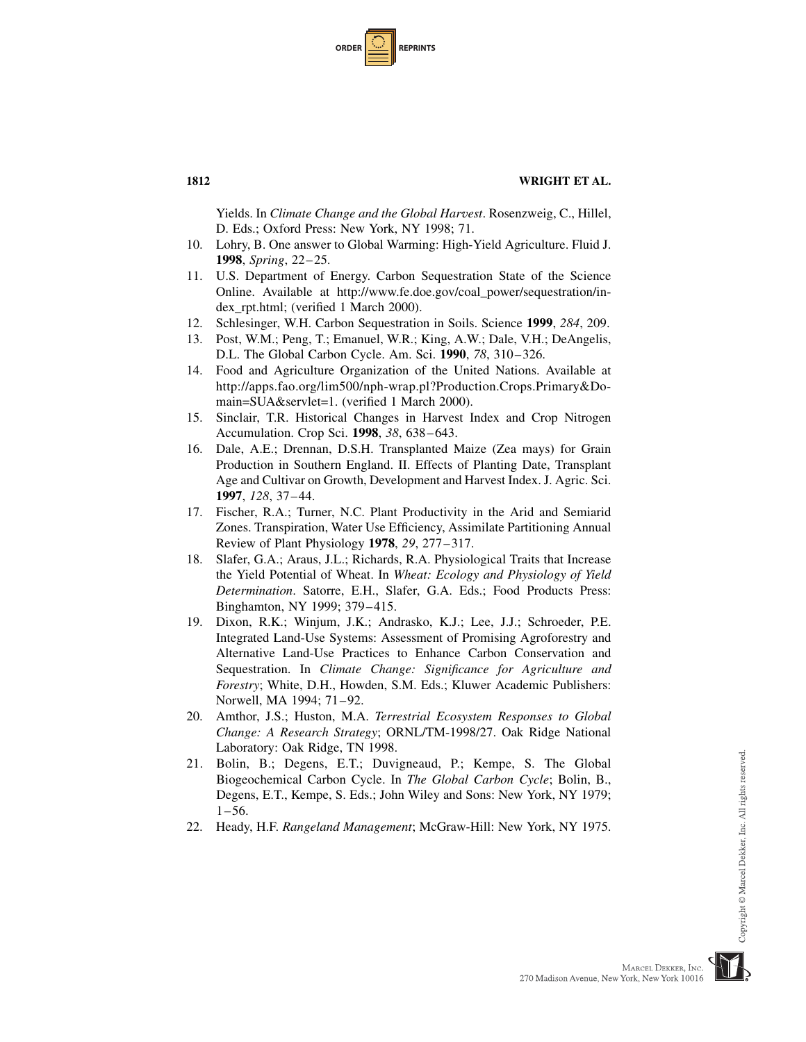| <b>ORDER</b> |  | <b>REPRINTS</b> |
|--------------|--|-----------------|
|--------------|--|-----------------|

Yields. In Climate Change and the Global Harvest. Rosenzweig, C., Hillel, D. Eds.; Oxford Press: New York, NY 1998; 71.

- 10. Lohry, B. One answer to Global Warming: High-Yield Agriculture. Fluid J. 1998, Spring, 22–25.
- 11. U.S. Department of Energy. Carbon Sequestration State of the Science Online. Available at http://www.fe.doe.gov/coal\_power/sequestration/index\_rpt.html; (verified 1 March 2000).
- 12. Schlesinger, W.H. Carbon Sequestration in Soils. Science 1999, 284, 209.
- 13. Post, W.M.; Peng, T.; Emanuel, W.R.; King, A.W.; Dale, V.H.; DeAngelis, D.L. The Global Carbon Cycle. Am. Sci. 1990, 78, 310–326.
- 14. Food and Agriculture Organization of the United Nations. Available at http://apps.fao.org/lim500/nph-wrap.pl?Production.Crops.Primary&Domain=SUA&servlet=1. (verified 1 March 2000).
- 15. Sinclair, T.R. Historical Changes in Harvest Index and Crop Nitrogen Accumulation. Crop Sci. 1998, 38, 638–643.
- 16. Dale, A.E.; Drennan, D.S.H. Transplanted Maize (Zea mays) for Grain Production in Southern England. II. Effects of Planting Date, Transplant Age and Cultivar on Growth, Development and Harvest Index. J. Agric. Sci. 1997, 128, 37–44.
- 17. Fischer, R.A.; Turner, N.C. Plant Productivity in the Arid and Semiarid Zones. Transpiration, Water Use Efficiency, Assimilate Partitioning Annual Review of Plant Physiology 1978, 29, 277–317.
- 18. Slafer, G.A.; Araus, J.L.; Richards, R.A. Physiological Traits that Increase the Yield Potential of Wheat. In Wheat: Ecology and Physiology of Yield Determination. Satorre, E.H., Slafer, G.A. Eds.; Food Products Press: Binghamton, NY 1999; 379–415.
- 19. Dixon, R.K.; Winjum, J.K.; Andrasko, K.J.; Lee, J.J.; Schroeder, P.E. Integrated Land-Use Systems: Assessment of Promising Agroforestry and Alternative Land-Use Practices to Enhance Carbon Conservation and Sequestration. In Climate Change: Significance for Agriculture and Forestry; White, D.H., Howden, S.M. Eds.; Kluwer Academic Publishers: Norwell, MA 1994; 71–92.
- 20. Amthor, J.S.; Huston, M.A. Terrestrial Ecosystem Responses to Global Change: A Research Strategy; ORNL/TM-1998/27. Oak Ridge National Laboratory: Oak Ridge, TN 1998.
- 21. Bolin, B.; Degens, E.T.; Duvigneaud, P.; Kempe, S. The Global Biogeochemical Carbon Cycle. In The Global Carbon Cycle; Bolin, B., Degens, E.T., Kempe, S. Eds.; John Wiley and Sons: New York, NY 1979;  $1-56.$
- 22. Heady, H.F. Rangeland Management; McGraw-Hill: New York, NY 1975.